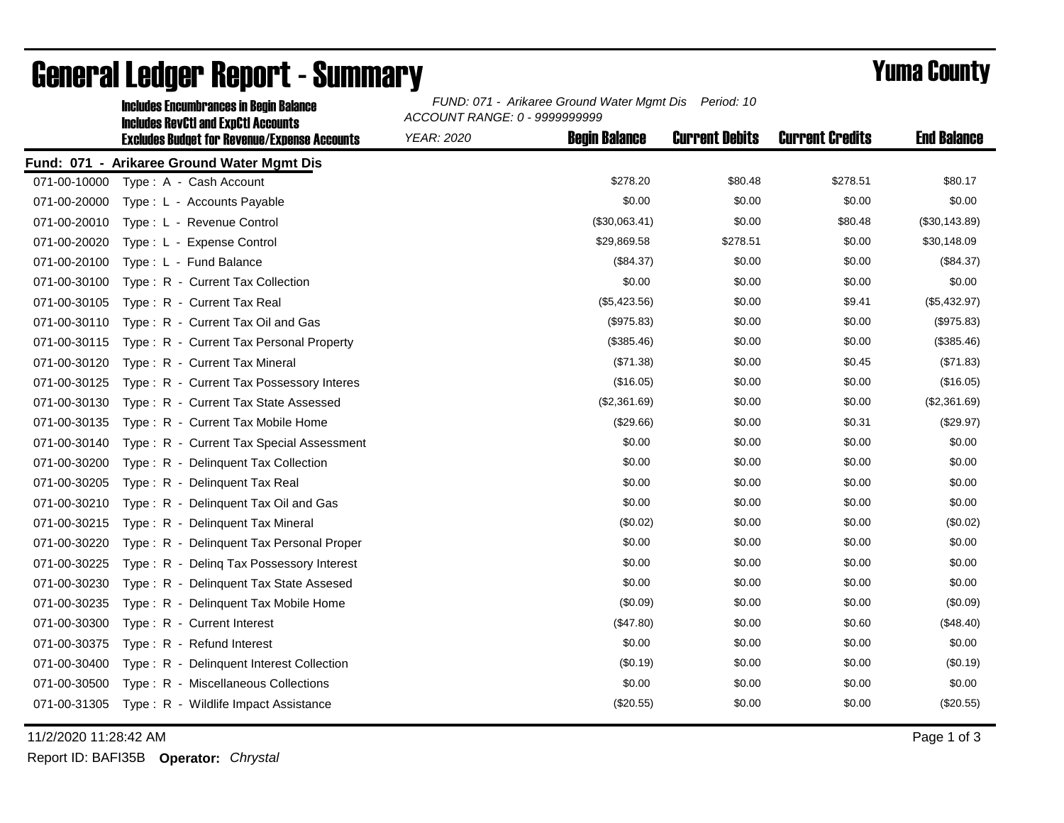|              | <b>Includes Encumbrances in Begin Balance</b>                                                     | FUND: 071 - Arikaree Ground Water Mgmt Dis<br>Period: 10<br>ACCOUNT RANGE: 0 - 9999999999 |                      |                       |                        |                    |  |
|--------------|---------------------------------------------------------------------------------------------------|-------------------------------------------------------------------------------------------|----------------------|-----------------------|------------------------|--------------------|--|
|              | <b>Includes RevCtI and ExpCtI Accounts</b><br><b>Excludes Budget for Revenue/Expense Accounts</b> | <b>YEAR: 2020</b>                                                                         | <b>Begin Balance</b> | <b>Current Debits</b> | <b>Current Credits</b> | <b>End Balance</b> |  |
|              | Fund: 071 - Arikaree Ground Water Mgmt Dis                                                        |                                                                                           |                      |                       |                        |                    |  |
| 071-00-10000 | Type: A - Cash Account                                                                            |                                                                                           | \$278.20             | \$80.48               | \$278.51               | \$80.17            |  |
| 071-00-20000 | Type: L - Accounts Payable                                                                        |                                                                                           | \$0.00               | \$0.00                | \$0.00                 | \$0.00             |  |
| 071-00-20010 | Type: L - Revenue Control                                                                         |                                                                                           | (\$30,063.41)        | \$0.00                | \$80.48                | (\$30,143.89)      |  |
| 071-00-20020 | Type: L - Expense Control                                                                         |                                                                                           | \$29,869.58          | \$278.51              | \$0.00                 | \$30,148.09        |  |
| 071-00-20100 | Type: L - Fund Balance                                                                            |                                                                                           | (\$84.37)            | \$0.00                | \$0.00                 | (\$84.37)          |  |
| 071-00-30100 | Type: R - Current Tax Collection                                                                  |                                                                                           | \$0.00               | \$0.00                | \$0.00                 | \$0.00             |  |
| 071-00-30105 | Type: R - Current Tax Real                                                                        |                                                                                           | (\$5,423.56)         | \$0.00                | \$9.41                 | (\$5,432.97)       |  |
| 071-00-30110 | Type: R - Current Tax Oil and Gas                                                                 |                                                                                           | (\$975.83)           | \$0.00                | \$0.00                 | (\$975.83)         |  |
| 071-00-30115 | Type: R - Current Tax Personal Property                                                           |                                                                                           | (\$385.46)           | \$0.00                | \$0.00                 | (\$385.46)         |  |
| 071-00-30120 | Type: R - Current Tax Mineral                                                                     |                                                                                           | (\$71.38)            | \$0.00                | \$0.45                 | (\$71.83)          |  |
| 071-00-30125 | Type: R - Current Tax Possessory Interes                                                          |                                                                                           | (\$16.05)            | \$0.00                | \$0.00                 | (\$16.05)          |  |
| 071-00-30130 | Type: R - Current Tax State Assessed                                                              |                                                                                           | (\$2,361.69)         | \$0.00                | \$0.00                 | (\$2,361.69)       |  |
| 071-00-30135 | Type: R - Current Tax Mobile Home                                                                 |                                                                                           | (\$29.66)            | \$0.00                | \$0.31                 | (\$29.97)          |  |
| 071-00-30140 | Type: R - Current Tax Special Assessment                                                          |                                                                                           | \$0.00               | \$0.00                | \$0.00                 | \$0.00             |  |
| 071-00-30200 | Type: R - Delinquent Tax Collection                                                               |                                                                                           | \$0.00               | \$0.00                | \$0.00                 | \$0.00             |  |
| 071-00-30205 | Type: R - Delinquent Tax Real                                                                     |                                                                                           | \$0.00               | \$0.00                | \$0.00                 | \$0.00             |  |
| 071-00-30210 | Type: R - Delinquent Tax Oil and Gas                                                              |                                                                                           | \$0.00               | \$0.00                | \$0.00                 | \$0.00             |  |
| 071-00-30215 | Type: R - Delinquent Tax Mineral                                                                  |                                                                                           | (\$0.02)             | \$0.00                | \$0.00                 | (\$0.02)           |  |
| 071-00-30220 | Type: R - Delinguent Tax Personal Proper                                                          |                                                                                           | \$0.00               | \$0.00                | \$0.00                 | \$0.00             |  |
| 071-00-30225 | Type: R - Deling Tax Possessory Interest                                                          |                                                                                           | \$0.00               | \$0.00                | \$0.00                 | \$0.00             |  |
| 071-00-30230 | Type: R - Delinquent Tax State Assesed                                                            |                                                                                           | \$0.00               | \$0.00                | \$0.00                 | \$0.00             |  |
| 071-00-30235 | Type: R - Delinquent Tax Mobile Home                                                              |                                                                                           | (\$0.09)             | \$0.00                | \$0.00                 | (\$0.09)           |  |
| 071-00-30300 | Type: R - Current Interest                                                                        |                                                                                           | (\$47.80)            | \$0.00                | \$0.60                 | (\$48.40)          |  |
| 071-00-30375 | Type: R - Refund Interest                                                                         |                                                                                           | \$0.00               | \$0.00                | \$0.00                 | \$0.00             |  |
| 071-00-30400 | Type: R - Delinguent Interest Collection                                                          |                                                                                           | (\$0.19)             | \$0.00                | \$0.00                 | (\$0.19)           |  |
| 071-00-30500 | Type: R - Miscellaneous Collections                                                               |                                                                                           | \$0.00               | \$0.00                | \$0.00                 | \$0.00             |  |
| 071-00-31305 | Type: R - Wildlife Impact Assistance                                                              |                                                                                           | (\$20.55)            | \$0.00                | \$0.00                 | (\$20.55)          |  |
|              |                                                                                                   |                                                                                           |                      |                       |                        |                    |  |

## General Ledger Report - Summary **Example 2018** Yuma County

11/2/2020 11:28:42 AM Page 1 of 3

Report ID: BAFI35B **Operator:** *Chrystal*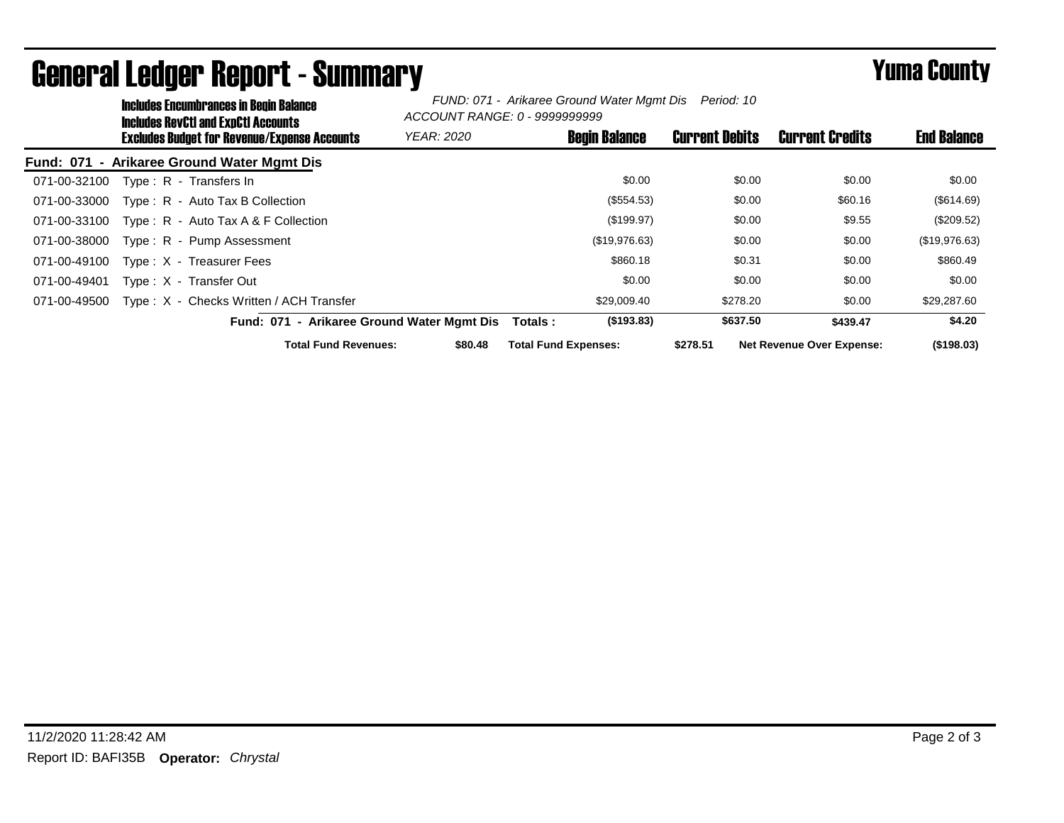|              | <b>Includes Encumbrances in Begin Balance</b><br>Includes RevCtI and ExpCtI Accounts |                                              | FUND: 071 - Arikaree Ground Water Mgmt Dis Period: 10<br>ACCOUNT RANGE: 0 - 9999999999 |                             |                       |                                  |                    |
|--------------|--------------------------------------------------------------------------------------|----------------------------------------------|----------------------------------------------------------------------------------------|-----------------------------|-----------------------|----------------------------------|--------------------|
|              |                                                                                      | Excludes Budget for Revenue/Expense Accounts | <b>YEAR: 2020</b>                                                                      | <b>Begin Balance</b>        | <b>Current Debits</b> | <b>Current Credits</b>           | <b>End Balance</b> |
|              |                                                                                      | Fund: 071 - Arikaree Ground Water Mgmt Dis   |                                                                                        |                             |                       |                                  |                    |
| 071-00-32100 |                                                                                      | Type: R - Transfers In                       |                                                                                        | \$0.00                      | \$0.00                | \$0.00                           | \$0.00             |
| 071-00-33000 |                                                                                      | Type: R - Auto Tax B Collection              |                                                                                        | (\$554.53)                  | \$0.00                | \$60.16                          | (\$614.69)         |
| 071-00-33100 |                                                                                      | Type: R - Auto Tax A & F Collection          |                                                                                        | (\$199.97)                  | \$0.00                | \$9.55                           | (\$209.52)         |
| 071-00-38000 |                                                                                      | Type: R - Pump Assessment                    |                                                                                        | (\$19,976.63)               | \$0.00                | \$0.00                           | (\$19,976.63)      |
| 071-00-49100 |                                                                                      | Type: X - Treasurer Fees                     |                                                                                        | \$860.18                    | \$0.31                | \$0.00                           | \$860.49           |
| 071-00-49401 |                                                                                      | Type: X - Transfer Out                       |                                                                                        | \$0.00                      | \$0.00                | \$0.00                           | \$0.00             |
| 071-00-49500 |                                                                                      | Type: X - Checks Written / ACH Transfer      |                                                                                        | \$29,009.40                 | \$278.20              | \$0.00                           | \$29,287.60        |
|              |                                                                                      | Fund: 071 - Arikaree Ground Water Mgmt Dis   |                                                                                        | (\$193.83)<br>Totals :      | \$637.50              | \$439.47                         | \$4.20             |
|              |                                                                                      | <b>Total Fund Revenues:</b>                  | \$80.48                                                                                | <b>Total Fund Expenses:</b> | \$278.51              | <b>Net Revenue Over Expense:</b> | (\$198.03)         |

## General Ledger Report - Summary **Example 2018** Yuma County